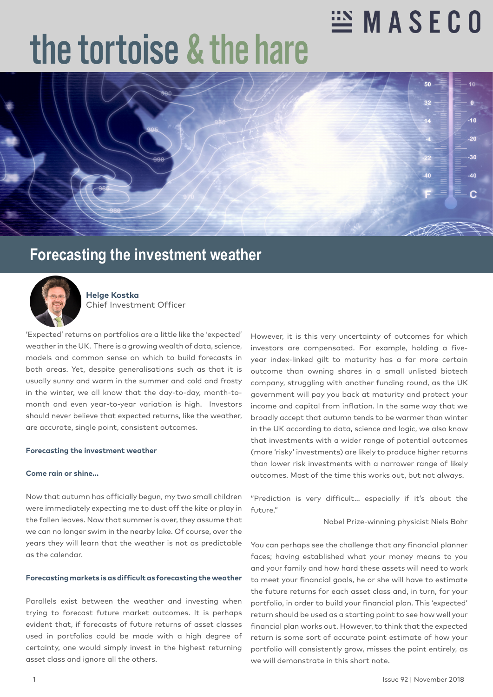## **ENASECO**

# the tortoise & the hare



### **Forecasting the investment weather**



**Helge Kostka** Chief Investment Officer

'Expected' returns on portfolios are a little like the 'expected' weather in the UK. There is a growing wealth of data, science, models and common sense on which to build forecasts in both areas. Yet, despite generalisations such as that it is usually sunny and warm in the summer and cold and frosty in the winter, we all know that the day-to-day, month-tomonth and even year-to-year variation is high. Investors should never believe that expected returns, like the weather, are accurate, single point, consistent outcomes.

### **Forecasting the investment weather**

#### **Come rain or shine…**

Now that autumn has officially begun, my two small children were immediately expecting me to dust off the kite or play in the fallen leaves. Now that summer is over, they assume that we can no longer swim in the nearby lake. Of course, over the years they will learn that the weather is not as predictable as the calendar.

### **Forecasting markets is as difficult as forecasting the weather**

Parallels exist between the weather and investing when trying to forecast future market outcomes. It is perhaps evident that, if forecasts of future returns of asset classes used in portfolios could be made with a high degree of certainty, one would simply invest in the highest returning asset class and ignore all the others.

However, it is this very uncertainty of outcomes for which investors are compensated. For example, holding a fiveyear index-linked gilt to maturity has a far more certain outcome than owning shares in a small unlisted biotech company, struggling with another funding round, as the UK government will pay you back at maturity and protect your income and capital from inflation. In the same way that we broadly accept that autumn tends to be warmer than winter in the UK according to data, science and logic, we also know that investments with a wider range of potential outcomes (more 'risky' investments) are likely to produce higher returns than lower risk investments with a narrower range of likely outcomes. Most of the time this works out, but not always.

"Prediction is very difficult… especially if it's about the future."

Nobel Prize-winning physicist Niels Bohr

You can perhaps see the challenge that any financial planner faces; having established what your money means to you and your family and how hard these assets will need to work to meet your financial goals, he or she will have to estimate the future returns for each asset class and, in turn, for your portfolio, in order to build your financial plan. This 'expected' return should be used as a starting point to see how well your financial plan works out. However, to think that the expected return is some sort of accurate point estimate of how your portfolio will consistently grow, misses the point entirely, as we will demonstrate in this short note.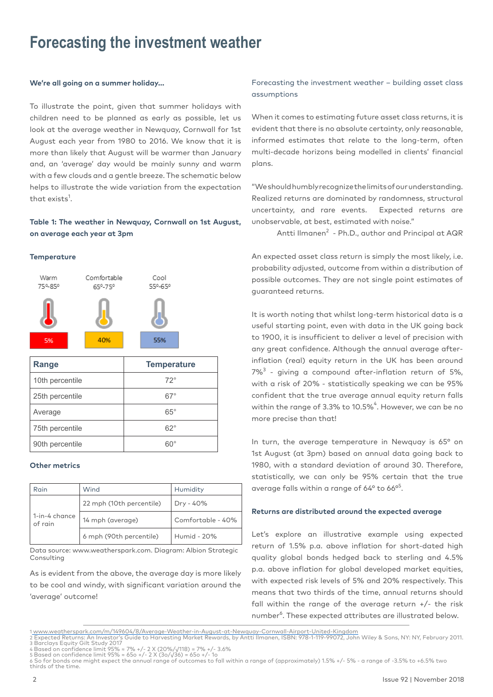### **Forecasting the investment weather**

### **We're all going on a summer holiday…**

To illustrate the point, given that summer holidays with children need to be planned as early as possible, let us look at the average weather in Newquay, Cornwall for 1st August each year from 1980 to 2016. We know that it is more than likely that August will be warmer than January and, an 'average' day would be mainly sunny and warm with a few clouds and a gentle breeze. The schematic below helps to illustrate the wide variation from the expectation that exists<sup>1</sup>.

### **Table 1: The weather in Newquay, Cornwall on 1st August, on average each year at 3pm**

### **Temperature**



| Range           | <b>Temperature</b> |
|-----------------|--------------------|
| 10th percentile | $72^\circ$         |
| 25th percentile | 67°                |
| Average         | $65^{\circ}$       |
| 75th percentile | $62^\circ$         |
| 90th percentile | ഩ                  |

### **Other metrics**

| Rain                     | Wind                     | Humidity          |
|--------------------------|--------------------------|-------------------|
| 1-in-4 chance<br>of rain | 22 mph (10th percentile) | Dry - 40%         |
|                          | 14 mph (average)         | Comfortable - 40% |
|                          | 6 mph (90th percentile)  | Humid - 20%       |

Data source: www.weatherspark.com. Diagram: Albion Strategic Consulting

As is evident from the above, the average day is more likely to be cool and windy, with significant variation around the 'average' outcome!

Forecasting the investment weather – building asset class assumptions

When it comes to estimating future asset class returns, it is evident that there is no absolute certainty, only reasonable, informed estimates that relate to the long-term, often multi-decade horizons being modelled in clients' financial plans.

"We should humbly recognize the limits of our understanding. Realized returns are dominated by randomness, structural uncertainty, and rare events. Expected returns are unobservable, at best, estimated with noise."

Antti Ilmanen<sup>2</sup> - Ph.D., author and Principal at AQR

An expected asset class return is simply the most likely, i.e. probability adjusted, outcome from within a distribution of possible outcomes. They are not single point estimates of guaranteed returns.

It is worth noting that whilst long-term historical data is a useful starting point, even with data in the UK going back to 1900, it is insufficient to deliver a level of precision with any great confidence. Although the annual average afterinflation (real) equity return in the UK has been around  $7\%$ <sup>3</sup> - giving a compound after-inflation return of 5%, with a risk of 20% - statistically speaking we can be 95% confident that the true average annual equity return falls within the range of 3.3% to 10.5% $\mathrm{^{4}}.$  However, we can be no more precise than that!

In turn, the average temperature in Newquay is 65° on 1st August (at 3pm) based on annual data going back to 1980, with a standard deviation of around 30. Therefore, statistically, we can only be 95% certain that the true average falls within a range of 64° to 66°<sup>5</sup>.

### **Returns are distributed around the expected average**

Let's explore an illustrative example using expected return of 1.5% p.a. above inflation for short-dated high quality global bonds hedged back to sterling and 4.5% p.a. above inflation for global developed market equities, with expected risk levels of 5% and 20% respectively. This means that two thirds of the time, annual returns should fall within the range of the average return +/- the risk number<sup>6</sup>. These expected attributes are illustrated below.

<sup>1 &</sup>lt;u>www.weatherspark.com/m/149604/8/Average-Weather-in-August-at-Newquay-Cornwall-Airport-United-Kingdom</u><br>2 Expected Returns: An Investor's Guide to Harvesting Market Rewards, by Antti Ilmanen, ISBN: 978-1-119-99072, John W

<sup>3</sup> Barclays Equity Gilt Study 2017 4 Based on confidence limit 95% ≈ 7% +/- 2 X (20%/√118) = 7% +/- 3.6% 5 Based on confidence limit 95% ≈ 65o +/- 2 X (3o/√36) = 65o +/- 1o

<sup>6</sup> So for bonds one might expect the annual range of outcomes to fall within a range of (approximately) 1.5% +/- 5% - a range of -3.5% to +6.5% two thirds of the time.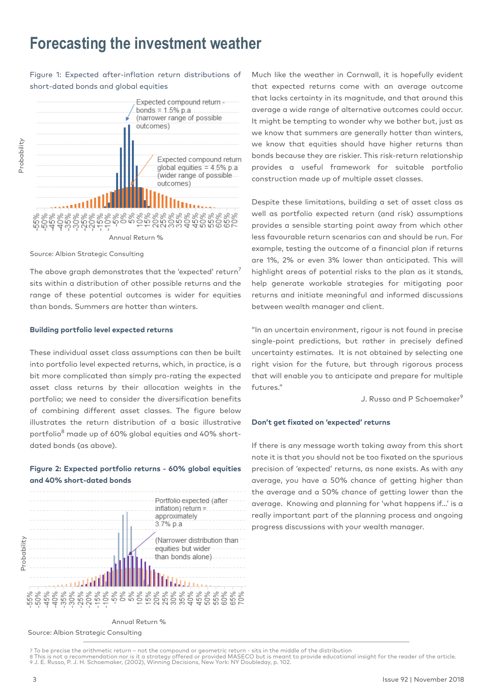### **Forecasting the investment weather**

### Figure 1: Expected after-inflation return distributions of short-dated bonds and global equities



#### Source: Albion Strategic Consulting

The above graph demonstrates that the 'expected' return<sup>7</sup> sits within a distribution of other possible returns and the range of these potential outcomes is wider for equities than bonds. Summers are hotter than winters.

#### **Building portfolio level expected returns**

These individual asset class assumptions can then be built into portfolio level expected returns, which, in practice, is a bit more complicated than simply pro-rating the expected asset class returns by their allocation weights in the portfolio; we need to consider the diversification benefits of combining different asset classes. The figure below illustrates the return distribution of a basic illustrative portfolio<sup>8</sup> made up of 60% global equities and 40% shortdated bonds (as above).

### **Figure 2: Expected portfolio returns - 60% global equities and 40% short-dated bonds**



Much like the weather in Cornwall, it is hopefully evident that expected returns come with an average outcome that lacks certainty in its magnitude, and that around this average a wide range of alternative outcomes could occur. It might be tempting to wonder why we bother but, just as we know that summers are generally hotter than winters, we know that equities should have higher returns than bonds because they are riskier. This risk-return relationship provides a useful framework for suitable portfolio construction made up of multiple asset classes.

Despite these limitations, building a set of asset class as well as portfolio expected return (and risk) assumptions provides a sensible starting point away from which other less favourable return scenarios can and should be run. For example, testing the outcome of a financial plan if returns are 1%, 2% or even 3% lower than anticipated. This will highlight areas of potential risks to the plan as it stands, help generate workable strategies for mitigating poor returns and initiate meaningful and informed discussions between wealth manager and client.

"In an uncertain environment, rigour is not found in precise single-point predictions, but rather in precisely defined uncertainty estimates. It is not obtained by selecting one right vision for the future, but through rigorous process that will enable you to anticipate and prepare for multiple futures."

J. Russo and P Schoemaker<sup>9</sup>

### **Don't get fixated on 'expected' returns**

If there is any message worth taking away from this short note it is that you should not be too fixated on the spurious precision of 'expected' returns, as none exists. As with any average, you have a 50% chance of getting higher than the average and a 50% chance of getting lower than the average. Knowing and planning for 'what happens if…' is a really important part of the planning process and ongoing progress discussions with your wealth manager.

7 To be precise the arithmetic return – not the compound or geometric return - sits in the middle of the distribution<br>8 This is not a recommendation nor is it a strategy offered or provided MASECO but is meant to provide e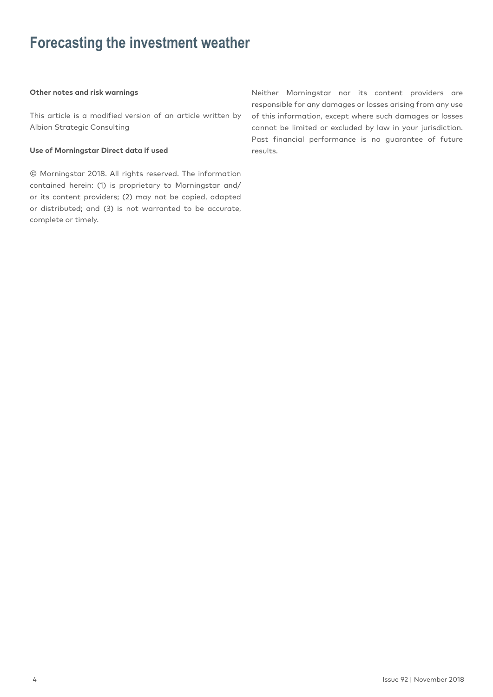### **Forecasting the investment weather**

### **Other notes and risk warnings**

This article is a modified version of an article written by Albion Strategic Consulting

### **Use of Morningstar Direct data if used**

© Morningstar 2018. All rights reserved. The information contained herein: (1) is proprietary to Morningstar and/ or its content providers; (2) may not be copied, adapted or distributed; and (3) is not warranted to be accurate, complete or timely.

Neither Morningstar nor its content providers are responsible for any damages or losses arising from any use of this information, except where such damages or losses cannot be limited or excluded by law in your jurisdiction. Past financial performance is no guarantee of future results.